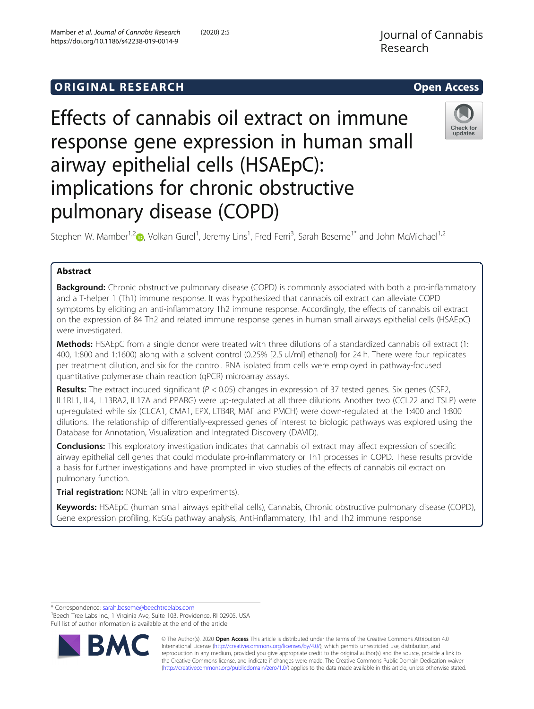# **ORIGINAL RESEARCH CONSERVERS AND ACCESS**

# Effects of cannabis oil extract on immune response gene expression in human small airway epithelial cells (HSAEpC): implications for chronic obstructive pulmonary disease (COPD)

Stephen W. Mamber<sup>1,2</sup> (D, Volkan Gurel<sup>1</sup>, Jeremy Lins<sup>1</sup>, Fred Ferri<sup>3</sup>, Sarah Beseme<sup>1\*</sup> and John McMichael<sup>1,2</sup>

# Abstract

Background: Chronic obstructive pulmonary disease (COPD) is commonly associated with both a pro-inflammatory and a T-helper 1 (Th1) immune response. It was hypothesized that cannabis oil extract can alleviate COPD symptoms by eliciting an anti-inflammatory Th2 immune response. Accordingly, the effects of cannabis oil extract on the expression of 84 Th2 and related immune response genes in human small airways epithelial cells (HSAEpC) were investigated.

Methods: HSAEpC from a single donor were treated with three dilutions of a standardized cannabis oil extract (1: 400, 1:800 and 1:1600) along with a solvent control (0.25% [2.5 ul/ml] ethanol) for 24 h. There were four replicates per treatment dilution, and six for the control. RNA isolated from cells were employed in pathway-focused quantitative polymerase chain reaction (qPCR) microarray assays.

**Results:** The extract induced significant ( $P < 0.05$ ) changes in expression of 37 tested genes. Six genes (CSF2, IL1RL1, IL4, IL13RA2, IL17A and PPARG) were up-regulated at all three dilutions. Another two (CCL22 and TSLP) were up-regulated while six (CLCA1, CMA1, EPX, LTB4R, MAF and PMCH) were down-regulated at the 1:400 and 1:800 dilutions. The relationship of differentially-expressed genes of interest to biologic pathways was explored using the Database for Annotation, Visualization and Integrated Discovery (DAVID).

**Conclusions:** This exploratory investigation indicates that cannabis oil extract may affect expression of specific airway epithelial cell genes that could modulate pro-inflammatory or Th1 processes in COPD. These results provide a basis for further investigations and have prompted in vivo studies of the effects of cannabis oil extract on pulmonary function.

**Trial registration:** NONE (all in vitro experiments).

Keywords: HSAEpC (human small airways epithelial cells), Cannabis, Chronic obstructive pulmonary disease (COPD), Gene expression profiling, KEGG pathway analysis, Anti-inflammatory, Th1 and Th2 immune response

\* Correspondence: [sarah.beseme@beechtreelabs.com](mailto:sarah.beseme@beechtreelabs.com) <sup>1</sup>

**BM** 

<sup>1</sup> Beech Tree Labs Inc., 1 Virginia Ave, Suite 103, Providence, RI 02905, USA Full list of author information is available at the end of the article





Check for undates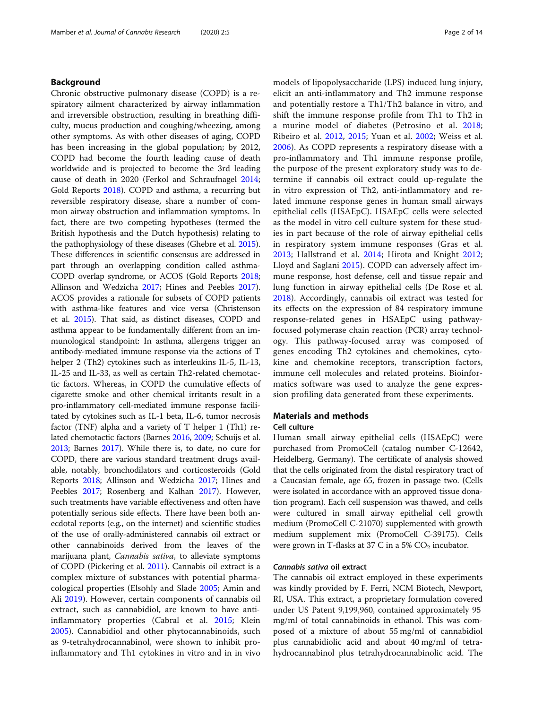# Background

Chronic obstructive pulmonary disease (COPD) is a respiratory ailment characterized by airway inflammation and irreversible obstruction, resulting in breathing difficulty, mucus production and coughing/wheezing, among other symptoms. As with other diseases of aging, COPD has been increasing in the global population; by 2012, COPD had become the fourth leading cause of death worldwide and is projected to become the 3rd leading cause of death in 2020 (Ferkol and Schraufnagel [2014](#page-12-0); Gold Reports [2018\)](#page-12-0). COPD and asthma, a recurring but reversible respiratory disease, share a number of common airway obstruction and inflammation symptoms. In fact, there are two competing hypotheses (termed the British hypothesis and the Dutch hypothesis) relating to the pathophysiology of these diseases (Ghebre et al. [2015](#page-12-0)). These differences in scientific consensus are addressed in part through an overlapping condition called asthma-COPD overlap syndrome, or ACOS (Gold Reports [2018](#page-12-0); Allinson and Wedzicha [2017;](#page-11-0) Hines and Peebles [2017](#page-12-0)). ACOS provides a rationale for subsets of COPD patients with asthma-like features and vice versa (Christenson et al. [2015\)](#page-11-0). That said, as distinct diseases, COPD and asthma appear to be fundamentally different from an immunological standpoint: In asthma, allergens trigger an antibody-mediated immune response via the actions of T helper 2 (Th2) cytokines such as interleukins IL-5, IL-13, IL-25 and IL-33, as well as certain Th2-related chemotactic factors. Whereas, in COPD the cumulative effects of cigarette smoke and other chemical irritants result in a pro-inflammatory cell-mediated immune response facilitated by cytokines such as IL-1 beta, IL-6, tumor necrosis factor (TNF) alpha and a variety of T helper 1 (Th1) related chemotactic factors (Barnes [2016,](#page-11-0) [2009;](#page-11-0) Schuijs et al. [2013;](#page-13-0) Barnes [2017\)](#page-11-0). While there is, to date, no cure for COPD, there are various standard treatment drugs available, notably, bronchodilators and corticosteroids (Gold Reports [2018;](#page-12-0) Allinson and Wedzicha [2017;](#page-11-0) Hines and Peebles [2017](#page-12-0); Rosenberg and Kalhan [2017](#page-13-0)). However, such treatments have variable effectiveness and often have potentially serious side effects. There have been both anecdotal reports (e.g., on the internet) and scientific studies of the use of orally-administered cannabis oil extract or other cannabinoids derived from the leaves of the marijuana plant, Cannabis sativa, to alleviate symptoms of COPD (Pickering et al. [2011\)](#page-13-0). Cannabis oil extract is a complex mixture of substances with potential pharmacological properties (Elsohly and Slade [2005;](#page-12-0) Amin and Ali [2019](#page-11-0)). However, certain components of cannabis oil extract, such as cannabidiol, are known to have antiinflammatory properties (Cabral et al. [2015](#page-11-0); Klein [2005\)](#page-12-0). Cannabidiol and other phytocannabinoids, such as 9-tetrahydrocannabinol, were shown to inhibit proinflammatory and Th1 cytokines in vitro and in in vivo models of lipopolysaccharide (LPS) induced lung injury, elicit an anti-inflammatory and Th2 immune response and potentially restore a Th1/Th2 balance in vitro, and shift the immune response profile from Th1 to Th2 in a murine model of diabetes (Petrosino et al. [2018](#page-13-0); Ribeiro et al. [2012,](#page-13-0) [2015](#page-13-0); Yuan et al. [2002;](#page-13-0) Weiss et al. [2006\)](#page-13-0). As COPD represents a respiratory disease with a pro-inflammatory and Th1 immune response profile, the purpose of the present exploratory study was to determine if cannabis oil extract could up-regulate the in vitro expression of Th2, anti-inflammatory and related immune response genes in human small airways epithelial cells (HSAEpC). HSAEpC cells were selected as the model in vitro cell culture system for these studies in part because of the role of airway epithelial cells in respiratory system immune responses (Gras et al. [2013;](#page-12-0) Hallstrand et al. [2014;](#page-12-0) Hirota and Knight [2012](#page-12-0); Lloyd and Saglani [2015\)](#page-12-0). COPD can adversely affect immune response, host defense, cell and tissue repair and lung function in airway epithelial cells (De Rose et al. [2018\)](#page-12-0). Accordingly, cannabis oil extract was tested for its effects on the expression of 84 respiratory immune response-related genes in HSAEpC using pathwayfocused polymerase chain reaction (PCR) array technology. This pathway-focused array was composed of genes encoding Th2 cytokines and chemokines, cytokine and chemokine receptors, transcription factors, immune cell molecules and related proteins. Bioinformatics software was used to analyze the gene expression profiling data generated from these experiments.

# Materials and methods

#### Cell culture

Human small airway epithelial cells (HSAEpC) were purchased from PromoCell (catalog number C-12642, Heidelberg, Germany). The certificate of analysis showed that the cells originated from the distal respiratory tract of a Caucasian female, age 65, frozen in passage two. (Cells were isolated in accordance with an approved tissue donation program). Each cell suspension was thawed, and cells were cultured in small airway epithelial cell growth medium (PromoCell C-21070) supplemented with growth medium supplement mix (PromoCell C-39175). Cells were grown in T-flasks at 37 C in a 5%  $CO<sub>2</sub>$  incubator.

# Cannabis sativa oil extract

The cannabis oil extract employed in these experiments was kindly provided by F. Ferri, NCM Biotech, Newport, RI, USA. This extract, a proprietary formulation covered under US Patent 9,199,960, contained approximately 95 mg/ml of total cannabinoids in ethanol. This was composed of a mixture of about 55 mg/ml of cannabidiol plus cannabidiolic acid and about 40 mg/ml of tetrahydrocannabinol plus tetrahydrocannabinolic acid. The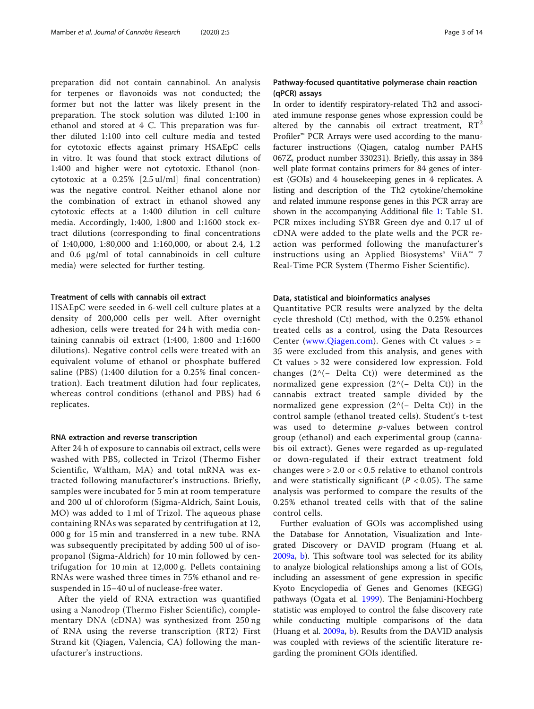preparation did not contain cannabinol. An analysis for terpenes or flavonoids was not conducted; the former but not the latter was likely present in the preparation. The stock solution was diluted 1:100 in ethanol and stored at 4 C. This preparation was further diluted 1:100 into cell culture media and tested for cytotoxic effects against primary HSAEpC cells in vitro. It was found that stock extract dilutions of 1:400 and higher were not cytotoxic. Ethanol (noncytotoxic at a 0.25% [2.5 ul/ml] final concentration) was the negative control. Neither ethanol alone nor the combination of extract in ethanol showed any cytotoxic effects at a 1:400 dilution in cell culture media. Accordingly, 1:400, 1:800 and 1:1600 stock extract dilutions (corresponding to final concentrations of 1:40,000, 1:80,000 and 1:160,000, or about 2.4, 1.2 and 0.6 μg/ml of total cannabinoids in cell culture media) were selected for further testing.

#### Treatment of cells with cannabis oil extract

HSAEpC were seeded in 6-well cell culture plates at a density of 200,000 cells per well. After overnight adhesion, cells were treated for 24 h with media containing cannabis oil extract (1:400, 1:800 and 1:1600 dilutions). Negative control cells were treated with an equivalent volume of ethanol or phosphate buffered saline (PBS) (1:400 dilution for a 0.25% final concentration). Each treatment dilution had four replicates, whereas control conditions (ethanol and PBS) had 6 replicates.

#### RNA extraction and reverse transcription

After 24 h of exposure to cannabis oil extract, cells were washed with PBS, collected in Trizol (Thermo Fisher Scientific, Waltham, MA) and total mRNA was extracted following manufacturer's instructions. Briefly, samples were incubated for 5 min at room temperature and 200 ul of chloroform (Sigma-Aldrich, Saint Louis, MO) was added to 1 ml of Trizol. The aqueous phase containing RNAs was separated by centrifugation at 12, 000 g for 15 min and transferred in a new tube. RNA was subsequently precipitated by adding 500 ul of isopropanol (Sigma-Aldrich) for 10 min followed by centrifugation for 10 min at 12,000 g. Pellets containing RNAs were washed three times in 75% ethanol and resuspended in 15–40 ul of nuclease-free water.

After the yield of RNA extraction was quantified using a Nanodrop (Thermo Fisher Scientific), complementary DNA (cDNA) was synthesized from 250 ng of RNA using the reverse transcription (RT2) First Strand kit (Qiagen, Valencia, CA) following the manufacturer's instructions.

# Pathway-focused quantitative polymerase chain reaction (qPCR) assays

In order to identify respiratory-related Th2 and associated immune response genes whose expression could be altered by the cannabis oil extract treatment,  $RT^2$ Profiler™ PCR Arrays were used according to the manufacturer instructions (Qiagen, catalog number PAHS 067Z, product number 330231). Briefly, this assay in 384 well plate format contains primers for 84 genes of interest (GOIs) and 4 housekeeping genes in 4 replicates. A listing and description of the Th2 cytokine/chemokine and related immune response genes in this PCR array are shown in the accompanying Additional file [1](#page-11-0): Table S1. PCR mixes including SYBR Green dye and 0.17 ul of cDNA were added to the plate wells and the PCR reaction was performed following the manufacturer's instructions using an Applied Biosystems® ViiA™ 7 Real-Time PCR System (Thermo Fisher Scientific).

#### Data, statistical and bioinformatics analyses

Quantitative PCR results were analyzed by the delta cycle threshold (Ct) method, with the 0.25% ethanol treated cells as a control, using the Data Resources Center ([www.Qiagen.com](http://www.qiagen.com)). Genes with Ct values > = 35 were excluded from this analysis, and genes with Ct values > 32 were considered low expression. Fold changes  $(2^{\wedge}(-$  Delta Ct)) were determined as the normalized gene expression (2^(− Delta Ct)) in the cannabis extract treated sample divided by the normalized gene expression (2^(− Delta Ct)) in the control sample (ethanol treated cells). Student's t-test was used to determine p-values between control group (ethanol) and each experimental group (cannabis oil extract). Genes were regarded as up-regulated or down-regulated if their extract treatment fold changes were > 2.0 or < 0.5 relative to ethanol controls and were statistically significant ( $P < 0.05$ ). The same analysis was performed to compare the results of the 0.25% ethanol treated cells with that of the saline control cells.

Further evaluation of GOIs was accomplished using the Database for Annotation, Visualization and Integrated Discovery or DAVID program (Huang et al. [2009a,](#page-12-0) [b\)](#page-12-0). This software tool was selected for its ability to analyze biological relationships among a list of GOIs, including an assessment of gene expression in specific Kyoto Encyclopedia of Genes and Genomes (KEGG) pathways (Ogata et al. [1999](#page-12-0)). The Benjamini-Hochberg statistic was employed to control the false discovery rate while conducting multiple comparisons of the data (Huang et al. [2009a,](#page-12-0) [b\)](#page-12-0). Results from the DAVID analysis was coupled with reviews of the scientific literature regarding the prominent GOIs identified.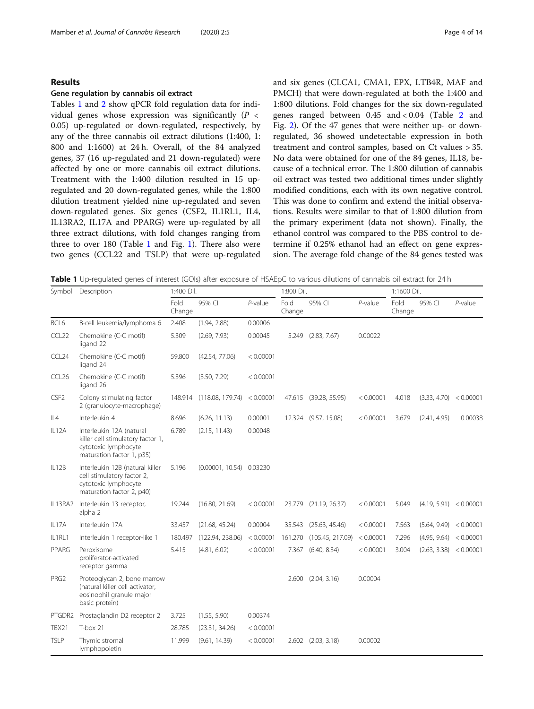#### <span id="page-3-0"></span>Results

#### Gene regulation by cannabis oil extract

Tables 1 and [2](#page-4-0) show qPCR fold regulation data for individual genes whose expression was significantly  $(P \leq$ 0.05) up-regulated or down-regulated, respectively, by any of the three cannabis oil extract dilutions (1:400, 1: 800 and 1:1600) at 24 h. Overall, of the 84 analyzed genes, 37 (16 up-regulated and 21 down-regulated) were affected by one or more cannabis oil extract dilutions. Treatment with the 1:400 dilution resulted in 15 upregulated and 20 down-regulated genes, while the 1:800 dilution treatment yielded nine up-regulated and seven down-regulated genes. Six genes (CSF2, IL1RL1, IL4, IL13RA2, IL17A and PPARG) were up-regulated by all three extract dilutions, with fold changes ranging from three to over 180 (Table 1 and Fig. [1](#page-5-0)). There also were two genes (CCL22 and TSLP) that were up-regulated and six genes (CLCA1, CMA1, EPX, LTB4R, MAF and PMCH) that were down-regulated at both the 1:400 and 1:800 dilutions. Fold changes for the six down-regulated genes ranged between 0.45 and < 0.04 (Table [2](#page-4-0) and Fig. [2\)](#page-5-0). Of the 47 genes that were neither up- or downregulated, 36 showed undetectable expression in both treatment and control samples, based on Ct values > 35. No data were obtained for one of the 84 genes, IL18, because of a technical error. The 1:800 dilution of cannabis oil extract was tested two additional times under slightly modified conditions, each with its own negative control. This was done to confirm and extend the initial observations. Results were similar to that of 1:800 dilution from the primary experiment (data not shown). Finally, the ethanol control was compared to the PBS control to determine if 0.25% ethanol had an effect on gene expression. The average fold change of the 84 genes tested was

Table 1 Up-regulated genes of interest (GOIs) after exposure of HSAEpC to various dilutions of cannabis oil extract for 24 h

| Symbol            | Description                                                                                                        | 1:400 Dil.     |                            |            | 1:800 Dil.     |                      |            | 1:1600 Dil.    |                        |            |
|-------------------|--------------------------------------------------------------------------------------------------------------------|----------------|----------------------------|------------|----------------|----------------------|------------|----------------|------------------------|------------|
|                   |                                                                                                                    | Fold<br>Change | 95% CI                     | $P$ -value | Fold<br>Change | 95% CI               | $P$ -value | Fold<br>Change | 95% CI                 | $P$ -value |
| BCL6              | B-cell leukemia/lymphoma 6                                                                                         | 2.408          | (1.94, 2.88)               | 0.00006    |                |                      |            |                |                        |            |
| CCL22             | Chemokine (C-C motif)<br>ligand 22                                                                                 | 5.309          | (2.69, 7.93)               | 0.00045    | 5.249          | (2.83, 7.67)         | 0.00022    |                |                        |            |
| CCL24             | Chemokine (C-C motif)<br>ligand 24                                                                                 | 59.800         | (42.54, 77.06)             | < 0.00001  |                |                      |            |                |                        |            |
| CCL <sub>26</sub> | Chemokine (C-C motif)<br>ligand 26                                                                                 | 5.396          | (3.50, 7.29)               | < 0.00001  |                |                      |            |                |                        |            |
| CSF <sub>2</sub>  | Colony stimulating factor<br>2 (granulocyte-macrophage)                                                            | 148.914        | (118.08, 179.74)           | < 0.00001  | 47.615         | (39.28, 55.95)       | < 0.00001  | 4.018          | (3.33, 4.70)           | < 0.00001  |
| IL4               | Interleukin 4                                                                                                      | 8.696          | (6.26, 11.13)              | 0.00001    |                | 12.324 (9.57, 15.08) | < 0.00001  | 3.679          | (2.41, 4.95)           | 0.00038    |
| IL12A             | Interleukin 12A (natural<br>killer cell stimulatory factor 1,<br>cytotoxic lymphocyte<br>maturation factor 1, p35) | 6.789          | (2.15, 11.43)              | 0.00048    |                |                      |            |                |                        |            |
| IL12B             | Interleukin 12B (natural killer<br>cell stimulatory factor 2,<br>cytotoxic lymphocyte<br>maturation factor 2, p40) | 5.196          | $(0.00001, 10.54)$ 0.03230 |            |                |                      |            |                |                        |            |
| IL13RA2           | Interleukin 13 receptor,<br>alpha 2                                                                                | 19.244         | (16.80, 21.69)             | < 0.00001  | 23.779         | (21.19, 26.37)       | < 0.00001  | 5.049          | (4.19, 5.91) < 0.00001 |            |
| IL17A             | Interleukin 17A                                                                                                    | 33.457         | (21.68, 45.24)             | 0.00004    | 35.543         | (25.63, 45.46)       | < 0.00001  | 7.563          | (5.64, 9.49) < 0.00001 |            |
| IL1RL1            | Interleukin 1 receptor-like 1                                                                                      | 180.497        | (122.94, 238.06)           | < 0.00001  | 161.270        | (105.45, 217.09)     | < 0.00001  | 7.296          | (4.95, 9.64) < 0.00001 |            |
| PPARG             | Peroxisome<br>proliferator-activated<br>receptor gamma                                                             | 5.415          | (4.81, 6.02)               | < 0.00001  | 7.367          | (6.40, 8.34)         | < 0.00001  | 3.004          | (2.63, 3.38) < 0.00001 |            |
| PRG <sub>2</sub>  | Proteoglycan 2, bone marrow<br>(natural killer cell activator,<br>eosinophil granule major<br>basic protein)       |                |                            |            | 2.600          | (2.04, 3.16)         | 0.00004    |                |                        |            |
| PTGDR2            | Prostaglandin D2 receptor 2                                                                                        | 3.725          | (1.55, 5.90)               | 0.00374    |                |                      |            |                |                        |            |
| TBX21             | $T-box 21$                                                                                                         | 28.785         | (23.31, 34.26)             | < 0.00001  |                |                      |            |                |                        |            |
| <b>TSLP</b>       | Thymic stromal<br>lymphopoietin                                                                                    | 11.999         | (9.61, 14.39)              | < 0.00001  |                | 2.602 (2.03, 3.18)   | 0.00002    |                |                        |            |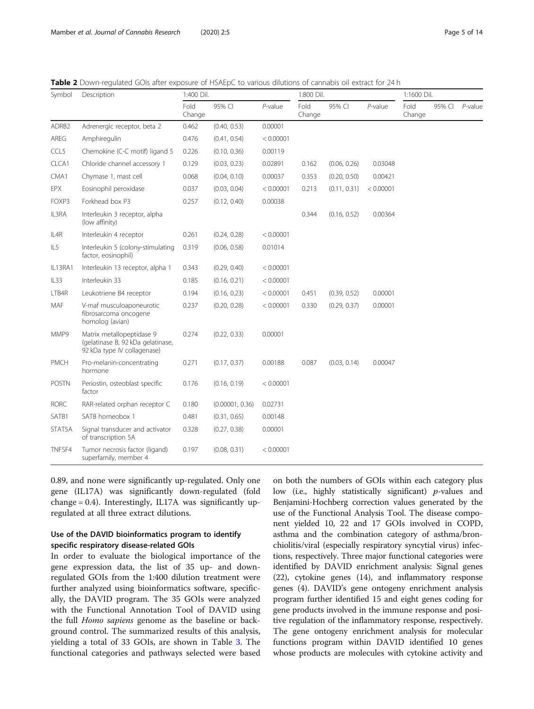<span id="page-4-0"></span>Table 2 Down-regulated GOIs after exposure of HSAEpC to various dilutions of cannabis oil extract for 24 h

| Symbol            | Description                                                                                   | 1:400 Dil.     |                 |            | 1:800 Dil.     |              |           | 1:1600 Dil.    |        |            |
|-------------------|-----------------------------------------------------------------------------------------------|----------------|-----------------|------------|----------------|--------------|-----------|----------------|--------|------------|
|                   |                                                                                               | Fold<br>Change | 95% CI          | $P$ -value | Fold<br>Change | 95% CI       | P-value   | Fold<br>Change | 95% CI | $P$ -value |
| ADRB <sub>2</sub> | Adrenergic receptor, beta 2                                                                   | 0.462          | (0.40, 0.53)    | 0.00001    |                |              |           |                |        |            |
| AREG              | Amphiregulin                                                                                  | 0.476          | (0.41, 0.54)    | < 0.00001  |                |              |           |                |        |            |
| CCL5              | Chemokine (C-C motif) ligand 5                                                                | 0.226          | (0.10, 0.36)    | 0.00119    |                |              |           |                |        |            |
| CLCA1             | Chloride channel accessory 1                                                                  | 0.129          | (0.03, 0.23)    | 0.02891    | 0.162          | (0.06, 0.26) | 0.03048   |                |        |            |
| CMA1              | Chymase 1, mast cell                                                                          | 0.068          | (0.04, 0.10)    | 0.00037    | 0.353          | (0.20, 0.50) | 0.00421   |                |        |            |
| EPX               | Eosinophil peroxidase                                                                         | 0.037          | (0.03, 0.04)    | < 0.00001  | 0.213          | (0.11, 0.31) | < 0.00001 |                |        |            |
| FOXP3             | Forkhead box P3                                                                               | 0.257          | (0.12, 0.40)    | 0.00038    |                |              |           |                |        |            |
| IL3RA             | Interleukin 3 receptor, alpha<br>(low affinity)                                               |                |                 |            | 0.344          | (0.16, 0.52) | 0.00364   |                |        |            |
| IL4R              | Interleukin 4 receptor                                                                        | 0.261          | (0.24, 0.28)    | < 0.00001  |                |              |           |                |        |            |
| IL5               | Interleukin 5 (colony-stimulating<br>factor, eosinophil)                                      | 0.319          | (0.06, 0.58)    | 0.01014    |                |              |           |                |        |            |
| IL13RA1           | Interleukin 13 receptor, alpha 1                                                              | 0.343          | (0.29, 0.40)    | < 0.00001  |                |              |           |                |        |            |
| IL33              | Interleukin 33                                                                                | 0.185          | (0.16, 0.21)    | < 0.00001  |                |              |           |                |        |            |
| LTB4R             | Leukotriene B4 receptor                                                                       | 0.194          | (0.16, 0.23)    | < 0.00001  | 0.451          | (0.39, 0.52) | 0.00001   |                |        |            |
| MAF               | V-maf musculoaponeurotic<br>fibrosarcoma oncogene<br>homolog (avian)                          | 0.237          | (0.20, 0.28)    | < 0.00001  | 0.330          | (0.29, 0.37) | 0.00001   |                |        |            |
| MMP9              | Matrix metallopeptidase 9<br>(gelatinase B, 92 kDa gelatinase,<br>92 kDa type IV collagenase) | 0.274          | (0.22, 0.33)    | 0.00001    |                |              |           |                |        |            |
| PMCH              | Pro-melanin-concentrating<br>hormone                                                          | 0.271          | (0.17, 0.37)    | 0.00188    | 0.087          | (0.03, 0.14) | 0.00047   |                |        |            |
| <b>POSTN</b>      | Periostin, osteoblast specific<br>factor                                                      | 0.176          | (0.16, 0.19)    | < 0.00001  |                |              |           |                |        |            |
| <b>RORC</b>       | RAR-related orphan receptor C                                                                 | 0.180          | (0.00001, 0.36) | 0.02731    |                |              |           |                |        |            |
| SATB1             | SATB homeobox 1                                                                               | 0.481          | (0.31, 0.65)    | 0.00148    |                |              |           |                |        |            |
| STAT5A            | Signal transducer and activator<br>of transcription 5A                                        | 0.328          | (0.27, 0.38)    | 0.00001    |                |              |           |                |        |            |
| TNFSF4            | Tumor necrosis factor (ligand)<br>superfamily, member 4                                       | 0.197          | (0.08, 0.31)    | < 0.00001  |                |              |           |                |        |            |

0.89, and none were significantly up-regulated. Only one gene (IL17A) was significantly down-regulated (fold change = 0.4). Interestingly, IL17A was significantly upregulated at all three extract dilutions.

# Use of the DAVID bioinformatics program to identify specific respiratory disease-related GOIs

In order to evaluate the biological importance of the gene expression data, the list of 35 up- and downregulated GOIs from the 1:400 dilution treatment were further analyzed using bioinformatics software, specifically, the DAVID program. The 35 GOIs were analyzed with the Functional Annotation Tool of DAVID using the full Homo sapiens genome as the baseline or background control. The summarized results of this analysis, yielding a total of 33 GOIs, are shown in Table [3](#page-6-0). The functional categories and pathways selected were based

on both the numbers of GOIs within each category plus low (i.e., highly statistically significant) *p*-values and Benjamini-Hochberg correction values generated by the use of the Functional Analysis Tool. The disease component yielded 10, 22 and 17 GOIs involved in COPD, asthma and the combination category of asthma/bronchiolitis/viral (especially respiratory syncytial virus) infections, respectively. Three major functional categories were identified by DAVID enrichment analysis: Signal genes (22), cytokine genes (14), and inflammatory response genes (4). DAVID's gene ontogeny enrichment analysis program further identified 15 and eight genes coding for gene products involved in the immune response and positive regulation of the inflammatory response, respectively. The gene ontogeny enrichment analysis for molecular functions program within DAVID identified 10 genes whose products are molecules with cytokine activity and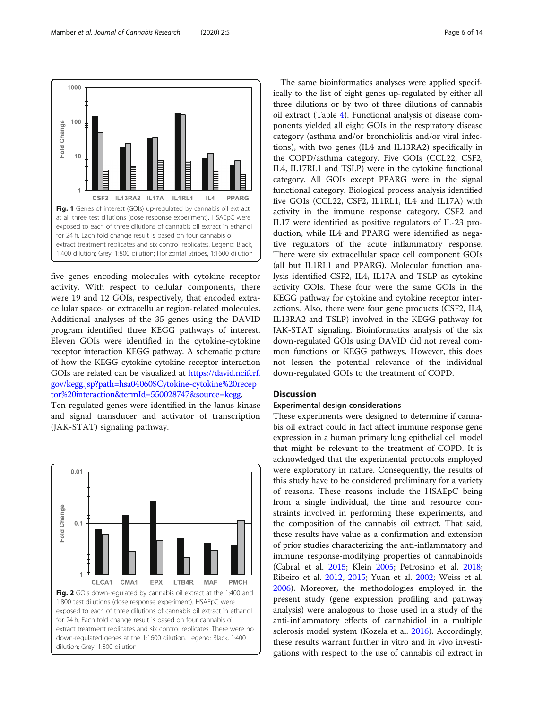<span id="page-5-0"></span>Mamber et al. Journal of Cannabis Research (2020) 2:5 Page 6 of 14



five genes encoding molecules with cytokine receptor activity. With respect to cellular components, there were 19 and 12 GOIs, respectively, that encoded extracellular space- or extracellular region-related molecules. Additional analyses of the 35 genes using the DAVID program identified three KEGG pathways of interest. Eleven GOIs were identified in the cytokine-cytokine receptor interaction KEGG pathway. A schematic picture of how the KEGG cytokine-cytokine receptor interaction GOIs are related can be visualized at [https://david.ncifcrf.](https://david.ncifcrf.gov/kegg.jsp?path=hsa04060Cytokine-cytokine%20receptor%20interaction&termId=550028747&source=kegg) [gov/kegg.jsp?path=hsa04060\\$Cytokine-cytokine%20recep](https://david.ncifcrf.gov/kegg.jsp?path=hsa04060Cytokine-cytokine%20receptor%20interaction&termId=550028747&source=kegg) [tor%20interaction&termId=550028747&source=kegg.](https://david.ncifcrf.gov/kegg.jsp?path=hsa04060Cytokine-cytokine%20receptor%20interaction&termId=550028747&source=kegg)

Ten regulated genes were identified in the Janus kinase and signal transducer and activator of transcription (JAK-STAT) signaling pathway.



The same bioinformatics analyses were applied specifically to the list of eight genes up-regulated by either all three dilutions or by two of three dilutions of cannabis oil extract (Table [4](#page-7-0)). Functional analysis of disease components yielded all eight GOIs in the respiratory disease category (asthma and/or bronchiolitis and/or viral infections), with two genes (IL4 and IL13RA2) specifically in the COPD/asthma category. Five GOIs (CCL22, CSF2, IL4, IL17RL1 and TSLP) were in the cytokine functional category. All GOIs except PPARG were in the signal functional category. Biological process analysis identified five GOIs (CCL22, CSF2, IL1RL1, IL4 and IL17A) with activity in the immune response category. CSF2 and IL17 were identified as positive regulators of IL-23 production, while IL4 and PPARG were identified as negative regulators of the acute inflammatory response. There were six extracellular space cell component GOIs (all but IL1RL1 and PPARG). Molecular function analysis identified CSF2, IL4, IL17A and TSLP as cytokine activity GOIs. These four were the same GOIs in the KEGG pathway for cytokine and cytokine receptor interactions. Also, there were four gene products (CSF2, IL4, IL13RA2 and TSLP) involved in the KEGG pathway for JAK-STAT signaling. Bioinformatics analysis of the six down-regulated GOIs using DAVID did not reveal common functions or KEGG pathways. However, this does not lessen the potential relevance of the individual down-regulated GOIs to the treatment of COPD.

# **Discussion**

# Experimental design considerations

These experiments were designed to determine if cannabis oil extract could in fact affect immune response gene expression in a human primary lung epithelial cell model that might be relevant to the treatment of COPD. It is acknowledged that the experimental protocols employed were exploratory in nature. Consequently, the results of this study have to be considered preliminary for a variety of reasons. These reasons include the HSAEpC being from a single individual, the time and resource constraints involved in performing these experiments, and the composition of the cannabis oil extract. That said, these results have value as a confirmation and extension of prior studies characterizing the anti-inflammatory and immune response-modifying properties of cannabinoids (Cabral et al. [2015;](#page-11-0) Klein [2005](#page-12-0); Petrosino et al. [2018](#page-13-0); Ribeiro et al. [2012](#page-13-0), [2015](#page-13-0); Yuan et al. [2002](#page-13-0); Weiss et al. [2006](#page-13-0)). Moreover, the methodologies employed in the present study (gene expression profiling and pathway analysis) were analogous to those used in a study of the anti-inflammatory effects of cannabidiol in a multiple sclerosis model system (Kozela et al. [2016](#page-12-0)). Accordingly, these results warrant further in vitro and in vivo investigations with respect to the use of cannabis oil extract in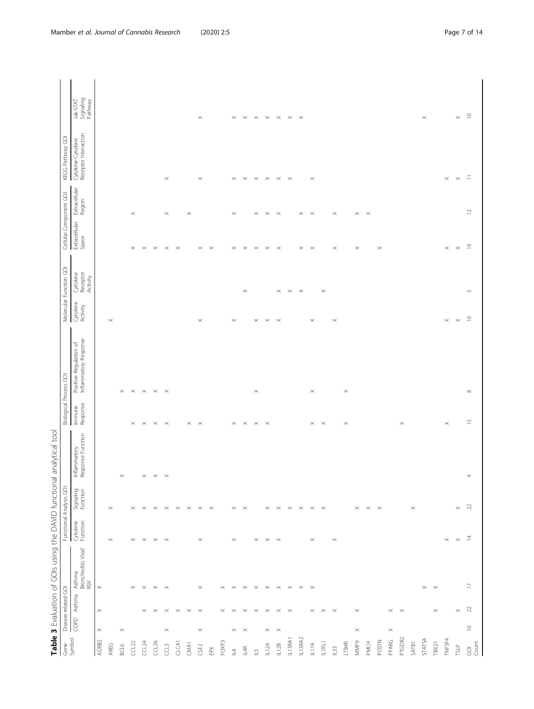| ١<br>Ì<br>I                                                                                 |  |
|---------------------------------------------------------------------------------------------|--|
| I<br>j<br>I                                                                                 |  |
| $\mathfrak{g}$<br>J<br>$\overline{a}$                                                       |  |
| l<br>i                                                                                      |  |
| ١<br>j                                                                                      |  |
| 5<br>$\overline{ }$<br>$\overline{\phantom{a}}$<br>$\big)$<br>$\overline{\phantom{a}}$<br>I |  |
| ١<br>į                                                                                      |  |
| l                                                                                           |  |
| ı                                                                                           |  |

<span id="page-6-0"></span>

|                            |                                                                                                                                                                                                                                                                                                                                                                                |                       | Table 3 Evaluation of GOIs using the DAVID functional analytical tool |                         |                                              |                                   |                               |                                                 |                      |                                  |                        |                         |                                           |                                        |
|----------------------------|--------------------------------------------------------------------------------------------------------------------------------------------------------------------------------------------------------------------------------------------------------------------------------------------------------------------------------------------------------------------------------|-----------------------|-----------------------------------------------------------------------|-------------------------|----------------------------------------------|-----------------------------------|-------------------------------|-------------------------------------------------|----------------------|----------------------------------|------------------------|-------------------------|-------------------------------------------|----------------------------------------|
| Gene                       |                                                                                                                                                                                                                                                                                                                                                                                | Disease-related GOI   |                                                                       | Functional Analysis GOI |                                              |                                   | <b>Biological Process GOI</b> |                                                 |                      | Molecular Function GOI           |                        | Cellular Component GOI  | KEGG Pathway GOI                          |                                        |
| Symbol                     | $\sqrt{\frac{6}{5}}$                                                                                                                                                                                                                                                                                                                                                           | Asthma                | Asthma<br>Bronchiolitis Viral/<br>RSV                                 | Cytokine<br>Function    | Signaling<br>Function                        | Inflammatory<br>Response Function | Immune<br>Response            | Inflammatory Response<br>Positive Regulation of | Cytokine<br>Activity | Cytokine<br>Receptor<br>Activity | Extracellular<br>Space | Extracellular<br>Region | Cytokine-Cytokine<br>Receptor Interaction | Jak-STAT<br>Signaling<br>Pathway       |
| ADRB2                      | $\! \times$                                                                                                                                                                                                                                                                                                                                                                    | $\! \times$           | $\times$                                                              |                         |                                              |                                   |                               |                                                 |                      |                                  |                        |                         |                                           |                                        |
| <b>AREG</b>                |                                                                                                                                                                                                                                                                                                                                                                                |                       |                                                                       | $\! \times$             | $\times$                                     |                                   |                               |                                                 | $\times$             |                                  |                        |                         |                                           |                                        |
| BCL6                       | $\boldsymbol{\times}$                                                                                                                                                                                                                                                                                                                                                          |                       |                                                                       |                         |                                              | $\boldsymbol{\times}$             |                               | $\times$                                        |                      |                                  |                        |                         |                                           |                                        |
| CCL22                      |                                                                                                                                                                                                                                                                                                                                                                                |                       | $\times$                                                              | $\times$                | $\times$                                     |                                   | $\! \times$                   | $\times$                                        |                      |                                  | $\! \times$            | $\! \times$             |                                           |                                        |
| CCL <sub>24</sub>          |                                                                                                                                                                                                                                                                                                                                                                                | $\times$              | $\boldsymbol{\times}$                                                 | $\times$                | $\times$                                     |                                   | $\mathord{\times}$            | $\boldsymbol{\times}$                           |                      |                                  | $\,\times\,$           |                         |                                           |                                        |
| CL26                       |                                                                                                                                                                                                                                                                                                                                                                                | $\times$              | $\times$                                                              | $\times$                | $\times$ $\times$ $\times$ $\times$          | $\times~\times~\times$            | $\times$ $~\times$            | $\mathsf{P}\times\mathsf{P}\times$              |                      |                                  | $\times$               |                         |                                           |                                        |
| CCL5                       | $\boldsymbol{\times}$                                                                                                                                                                                                                                                                                                                                                          | $\times$              | $\times$                                                              | $\times$                |                                              |                                   |                               |                                                 |                      |                                  | $\times$               | $\! \times$             | $\! \times$                               |                                        |
| CLCAT                      |                                                                                                                                                                                                                                                                                                                                                                                | $\times$              |                                                                       |                         |                                              |                                   |                               |                                                 |                      |                                  | $\mathbb{R}$           |                         |                                           |                                        |
| CMA1                       |                                                                                                                                                                                                                                                                                                                                                                                | $\boldsymbol{\times}$ |                                                                       |                         |                                              |                                   |                               |                                                 |                      |                                  |                        | $\times$                |                                           |                                        |
| CSF <sub>2</sub>           | $\! \times$                                                                                                                                                                                                                                                                                                                                                                    | $\times$              | $\boldsymbol{\times}$                                                 | $\times$                | $\mathbb{R}^2$                               |                                   | $\times$ $~\times$            |                                                 | $\! \times$          |                                  | $\! \times$            |                         | $\! \times$                               | $\! \times$                            |
| EPX                        |                                                                                                                                                                                                                                                                                                                                                                                |                       |                                                                       |                         | $\mathbb{R}$                                 |                                   |                               |                                                 |                      |                                  | $\mathbb{R}$           |                         |                                           |                                        |
| FOXP3                      |                                                                                                                                                                                                                                                                                                                                                                                | $\times$              | $\! \times$                                                           |                         |                                              |                                   |                               |                                                 |                      |                                  |                        |                         |                                           |                                        |
| $\overline{4}$             | $\! \times$                                                                                                                                                                                                                                                                                                                                                                    | $\times$              | $\times$                                                              | $\times$                | $\times$                                     |                                   | $\boldsymbol{\times}$         |                                                 | $\times$             |                                  | $\! \times$            | $\! \times$             | $\boldsymbol{\times}$                     | $\times$                               |
| IL4R                       | $\,\times\,$                                                                                                                                                                                                                                                                                                                                                                   | $\times$              | $\times$                                                              |                         | $\times$                                     |                                   | $\times$                      |                                                 |                      | $\times$                         | $\times$               |                         | $\,\times\,$                              | $\mathord{\times}$                     |
| $\overset{\mathsf{L}}{=}$  |                                                                                                                                                                                                                                                                                                                                                                                | $\times$              | $\boldsymbol{\times}$                                                 | $\! \times$             |                                              |                                   | $\times$ $~\times$            | $\boldsymbol{\times}$                           | $\times$             |                                  | $\times$               | $\times$                | $\times$                                  | $\times$                               |
| L12A                       | $\! \times$                                                                                                                                                                                                                                                                                                                                                                    | $\times$              | $\boldsymbol{\times}$                                                 | $\times$                | $\boldsymbol{\times}$                        |                                   |                               |                                                 | $\times$             |                                  | $\boldsymbol{\times}$  | $\times$ $~\times$      | $\! \times$                               | $\times$                               |
| IL12B                      | $\,\times\,$                                                                                                                                                                                                                                                                                                                                                                   | $\times$              | $\,\times\,$                                                          | $\times$                |                                              |                                   |                               |                                                 | $\times$             | $\times$                         | $\mathbb{\times}$      |                         | $\,\times\,$                              | $\times$                               |
| IL13RA1                    |                                                                                                                                                                                                                                                                                                                                                                                | $\times$              | $\boldsymbol{\times}$                                                 |                         |                                              |                                   |                               |                                                 |                      | $\times$                         |                        |                         | $\mathbb{1}$                              | $\times$ $\times$                      |
| IL13RA2                    |                                                                                                                                                                                                                                                                                                                                                                                |                       | $\mathbb{\times}$                                                     |                         | $\times$ $\times$ $\times$ $\times$ $\times$ |                                   |                               |                                                 |                      | $\mathbf{\times}$                | $\! \times$            | $\times$                |                                           |                                        |
| IL17A                      |                                                                                                                                                                                                                                                                                                                                                                                | $\times$              | $\times$                                                              | $\! \times$             |                                              |                                   |                               | $\times$                                        | $\times$             |                                  | $\,\times\,$           | $\mathbb{\times}$       | $\times$                                  |                                        |
| ILIRLI                     |                                                                                                                                                                                                                                                                                                                                                                                | $\times$ $\times$     |                                                                       |                         |                                              |                                   | $\times$ $~\times$            |                                                 |                      | $\times$                         |                        |                         |                                           |                                        |
| $\mathbb{L}33$             |                                                                                                                                                                                                                                                                                                                                                                                |                       |                                                                       | $\times$                |                                              |                                   |                               |                                                 | $\times$             |                                  | $\! \times$            | $\times$                |                                           |                                        |
| LTB4R                      |                                                                                                                                                                                                                                                                                                                                                                                |                       |                                                                       |                         |                                              |                                   | $\times$                      | $\times$                                        |                      |                                  |                        |                         |                                           |                                        |
| <b>MMP9</b>                | $\times$                                                                                                                                                                                                                                                                                                                                                                       | $\boldsymbol{\times}$ |                                                                       |                         | $\times$                                     |                                   |                               |                                                 |                      |                                  | $\! \times$            | $\times$ $~\times$      |                                           |                                        |
| PMCH                       |                                                                                                                                                                                                                                                                                                                                                                                |                       |                                                                       |                         | $\times$ $\times$                            |                                   |                               |                                                 |                      |                                  |                        |                         |                                           |                                        |
| POSTN                      |                                                                                                                                                                                                                                                                                                                                                                                |                       |                                                                       |                         |                                              |                                   |                               |                                                 |                      |                                  | $\times$               |                         |                                           |                                        |
| PPARG                      | $\times$                                                                                                                                                                                                                                                                                                                                                                       | $\times$              |                                                                       |                         |                                              |                                   |                               |                                                 |                      |                                  |                        |                         |                                           |                                        |
| PTGDR2                     |                                                                                                                                                                                                                                                                                                                                                                                | $\times$              |                                                                       |                         |                                              |                                   | $\! \times$                   |                                                 |                      |                                  |                        |                         |                                           |                                        |
| SATB1                      |                                                                                                                                                                                                                                                                                                                                                                                |                       |                                                                       |                         | $\times$                                     |                                   |                               |                                                 |                      |                                  |                        |                         |                                           |                                        |
| STATSA                     |                                                                                                                                                                                                                                                                                                                                                                                |                       | $\times$ $~\times$                                                    |                         |                                              |                                   |                               |                                                 |                      |                                  |                        |                         |                                           | $\times$                               |
| TBX21                      |                                                                                                                                                                                                                                                                                                                                                                                | $\! \times$           |                                                                       |                         |                                              |                                   |                               |                                                 |                      |                                  |                        |                         |                                           |                                        |
| TNFSF4                     |                                                                                                                                                                                                                                                                                                                                                                                |                       |                                                                       | $\times$                |                                              |                                   | $\times$                      |                                                 | $\times$             |                                  | $\times$               |                         | $\times$                                  |                                        |
| TSLP                       |                                                                                                                                                                                                                                                                                                                                                                                | $\times$              |                                                                       | $\boldsymbol{\times}$   | $\times$ 2                                   |                                   |                               |                                                 | $~\times~$           |                                  | $\times$               |                         | $\mathord{\times}$ =                      | $\times$ $\,$ $\stackrel{\circ}{\sim}$ |
| $\overline{\mathbf{Q}}$ of | $\mathrel{\mathop{\scriptstyle\mathrel{\mathop{\scriptstyle\mathop{\scriptstyle\mathop{\scriptstyle\mathop{\scriptstyle\mathop{\scriptstyle\mathop{\scriptstyle\mathop{\scriptstyle\mathop{\scriptstyle\mathop{\scriptstyle\mathop{\scriptstyle\mathop{\scriptstyle\mathop{\scriptstyle\mathop{\scriptstyle\mathop{\scriptstyle\mathop{\scriptstyle\mathop{\cal E}}}}}}}}}}}}$ | 22                    | $\square$                                                             | $\overline{z}$          |                                              | 4                                 | $\overline{1}$                | $\infty$                                        | $\supseteq$          | $\mathsf{L}\cap$                 | $\overline{0}$         | $\approx$               |                                           |                                        |
|                            |                                                                                                                                                                                                                                                                                                                                                                                |                       |                                                                       |                         |                                              |                                   |                               |                                                 |                      |                                  |                        |                         |                                           |                                        |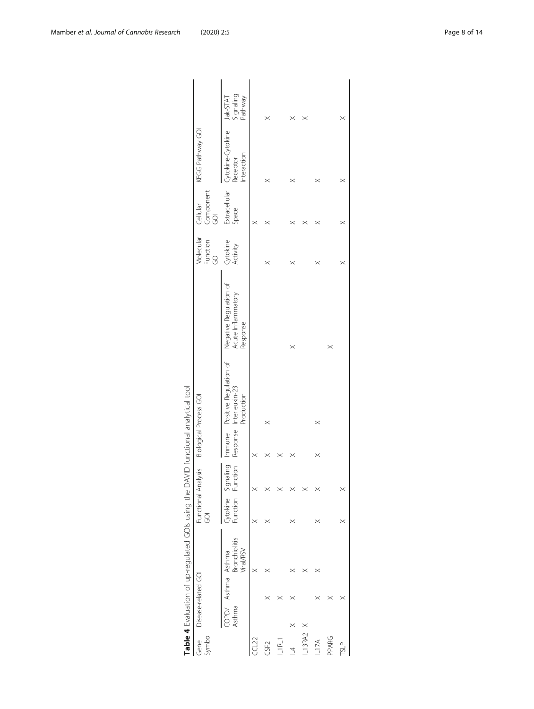<span id="page-7-0"></span>

| Symbol<br>Gene   |        | Disease-related GOI |                            | Functional Analysis<br>ē   |               |          | <b>Biological Process GOI</b>                                 |                                                          | Molecular<br>Function<br>GOI | Component<br>Cellular<br>$\overline{S}$ | KEGG Pathway GOI                            |                                  |
|------------------|--------|---------------------|----------------------------|----------------------------|---------------|----------|---------------------------------------------------------------|----------------------------------------------------------|------------------------------|-----------------------------------------|---------------------------------------------|----------------------------------|
|                  | Asthma | COPD/ Asthma Asthma | Bronchiolitis<br>Viral/RSV | <b>ytokine</b><br>Function | aling<br>tion | Response | Immune Positive Regulation of<br>Interleukin-23<br>Production | Negative Regulation of<br>Acute Inflammatory<br>Response | Cytokine<br>Activity         | Extracellular<br>Space                  | ytokine-Cytokine<br>Interaction<br>Receptor | Signaling<br>Jak-STAT<br>Pathway |
| CCL22            |        |                     | $\times$                   | $\times$                   |               |          |                                                               |                                                          |                              | $\times$                                |                                             |                                  |
| CSF <sub>2</sub> |        |                     |                            |                            |               |          | $\times$                                                      |                                                          | $\times$                     | $\times$                                |                                             | $\times$                         |
| IL1RL1           |        |                     |                            |                            |               |          |                                                               |                                                          |                              |                                         |                                             |                                  |
| $\overline{4}$   |        |                     |                            |                            |               |          |                                                               | $\times$                                                 | $\times$                     |                                         |                                             |                                  |
| $-13RA2$         |        |                     |                            |                            |               |          |                                                               |                                                          |                              | $\times$                                |                                             | $\times$                         |
| L17A             |        |                     |                            |                            |               | $\times$ | $\times$                                                      |                                                          |                              | $\times$                                |                                             |                                  |
| PPARG            |        |                     |                            |                            |               |          |                                                               | $\times$                                                 |                              |                                         |                                             |                                  |
| <b>TSLP</b>      |        |                     |                            |                            |               |          |                                                               |                                                          |                              | $\times$                                | $\times$                                    | $\times$                         |
|                  |        |                     |                            |                            |               |          |                                                               |                                                          |                              |                                         |                                             |                                  |

| ?<br>?<br>)<br>j           |
|----------------------------|
| Ì<br>I                     |
|                            |
| I<br>S<br>¢                |
| !                          |
| ļ<br>١<br>$\frac{1}{3}$    |
| í                          |
| ĺ<br>)                     |
|                            |
| I<br>J                     |
| Į                          |
| $\mathbf{r}$<br>j<br>١     |
| ١<br>5                     |
| )<br>)<br>I<br>ī<br>)<br>I |
| δ<br>ī<br>ţ<br>J           |
| I<br>١                     |
| J<br>١<br>۱                |
| אי ווי יא<br>ï             |
| ١                          |
| Ì                          |
| ļ                          |
| ļ<br>١                     |
| j<br>J<br>$\mathfrak l$    |
| ֧֦֧֦֧֦֧֦֧֚֬֝<br>d          |
| J<br>ı                     |
| ŕ                          |
|                            |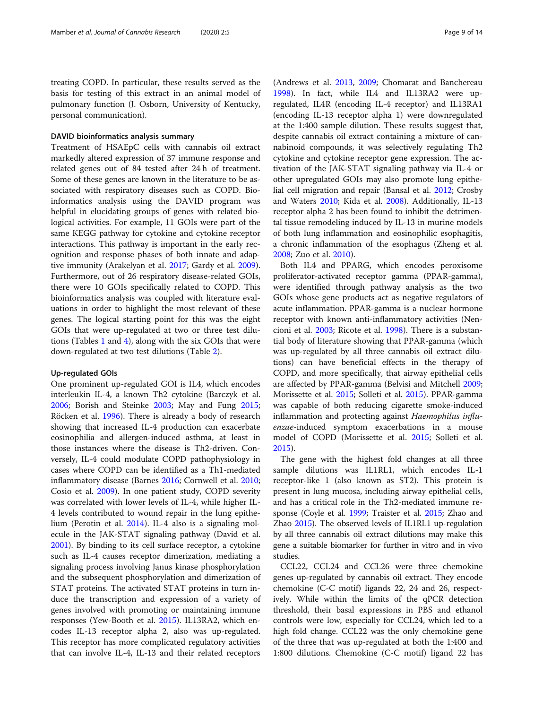treating COPD. In particular, these results served as the basis for testing of this extract in an animal model of pulmonary function (J. Osborn, University of Kentucky, personal communication).

#### DAVID bioinformatics analysis summary

Treatment of HSAEpC cells with cannabis oil extract markedly altered expression of 37 immune response and related genes out of 84 tested after 24 h of treatment. Some of these genes are known in the literature to be associated with respiratory diseases such as COPD. Bioinformatics analysis using the DAVID program was helpful in elucidating groups of genes with related biological activities. For example, 11 GOIs were part of the same KEGG pathway for cytokine and cytokine receptor interactions. This pathway is important in the early recognition and response phases of both innate and adaptive immunity (Arakelyan et al. [2017](#page-11-0); Gardy et al. [2009](#page-12-0)). Furthermore, out of 26 respiratory disease-related GOIs, there were 10 GOIs specifically related to COPD. This bioinformatics analysis was coupled with literature evaluations in order to highlight the most relevant of these genes. The logical starting point for this was the eight GOIs that were up-regulated at two or three test dilutions (Tables [1](#page-3-0) and [4](#page-7-0)), along with the six GOIs that were down-regulated at two test dilutions (Table [2](#page-4-0)).

#### Up-regulated GOIs

One prominent up-regulated GOI is IL4, which encodes interleukin IL-4, a known Th2 cytokine (Barczyk et al. [2006](#page-11-0); Borish and Steinke [2003](#page-11-0); May and Fung [2015](#page-12-0); Röcken et al. [1996](#page-13-0)). There is already a body of research showing that increased IL-4 production can exacerbate eosinophilia and allergen-induced asthma, at least in those instances where the disease is Th2-driven. Conversely, IL-4 could modulate COPD pathophysiology in cases where COPD can be identified as a Th1-mediated inflammatory disease (Barnes [2016](#page-11-0); Cornwell et al. [2010](#page-11-0); Cosio et al. [2009\)](#page-12-0). In one patient study, COPD severity was correlated with lower levels of IL-4, while higher IL-4 levels contributed to wound repair in the lung epithelium (Perotin et al. [2014](#page-13-0)). IL-4 also is a signaling molecule in the JAK-STAT signaling pathway (David et al. [2001](#page-12-0)). By binding to its cell surface receptor, a cytokine such as IL-4 causes receptor dimerization, mediating a signaling process involving Janus kinase phosphorylation and the subsequent phosphorylation and dimerization of STAT proteins. The activated STAT proteins in turn induce the transcription and expression of a variety of genes involved with promoting or maintaining immune responses (Yew-Booth et al. [2015\)](#page-13-0). IL13RA2, which encodes IL-13 receptor alpha 2, also was up-regulated. This receptor has more complicated regulatory activities that can involve IL-4, IL-13 and their related receptors

(Andrews et al. [2013,](#page-11-0) [2009;](#page-11-0) Chomarat and Banchereau [1998](#page-11-0)). In fact, while IL4 and IL13RA2 were upregulated, IL4R (encoding IL-4 receptor) and IL13RA1 (encoding IL-13 receptor alpha 1) were downregulated at the 1:400 sample dilution. These results suggest that, despite cannabis oil extract containing a mixture of cannabinoid compounds, it was selectively regulating Th2 cytokine and cytokine receptor gene expression. The activation of the JAK-STAT signaling pathway via IL-4 or other upregulated GOIs may also promote lung epithelial cell migration and repair (Bansal et al. [2012](#page-11-0); Crosby and Waters [2010;](#page-12-0) Kida et al. [2008\)](#page-12-0). Additionally, IL-13 receptor alpha 2 has been found to inhibit the detrimental tissue remodeling induced by IL-13 in murine models of both lung inflammation and eosinophilic esophagitis, a chronic inflammation of the esophagus (Zheng et al. [2008](#page-13-0); Zuo et al. [2010](#page-13-0)).

Both IL4 and PPARG, which encodes peroxisome proliferator-activated receptor gamma (PPAR-gamma), were identified through pathway analysis as the two GOIs whose gene products act as negative regulators of acute inflammation. PPAR-gamma is a nuclear hormone receptor with known anti-inflammatory activities (Nencioni et al. [2003;](#page-12-0) Ricote et al. [1998\)](#page-13-0). There is a substantial body of literature showing that PPAR-gamma (which was up-regulated by all three cannabis oil extract dilutions) can have beneficial effects in the therapy of COPD, and more specifically, that airway epithelial cells are affected by PPAR-gamma (Belvisi and Mitchell [2009](#page-11-0); Morissette et al. [2015;](#page-12-0) Solleti et al. [2015](#page-13-0)). PPAR-gamma was capable of both reducing cigarette smoke-induced inflammation and protecting against Haemophilus influenzae-induced symptom exacerbations in a mouse model of COPD (Morissette et al. [2015;](#page-12-0) Solleti et al. [2015](#page-13-0)).

The gene with the highest fold changes at all three sample dilutions was IL1RL1, which encodes IL-1 receptor-like 1 (also known as ST2). This protein is present in lung mucosa, including airway epithelial cells, and has a critical role in the Th2-mediated immune response (Coyle et al. [1999;](#page-12-0) Traister et al. [2015](#page-13-0); Zhao and Zhao [2015](#page-13-0)). The observed levels of IL1RL1 up-regulation by all three cannabis oil extract dilutions may make this gene a suitable biomarker for further in vitro and in vivo studies.

CCL22, CCL24 and CCL26 were three chemokine genes up-regulated by cannabis oil extract. They encode chemokine (C-C motif) ligands 22, 24 and 26, respectively. While within the limits of the qPCR detection threshold, their basal expressions in PBS and ethanol controls were low, especially for CCL24, which led to a high fold change. CCL22 was the only chemokine gene of the three that was up-regulated at both the 1:400 and 1:800 dilutions. Chemokine (C-C motif) ligand 22 has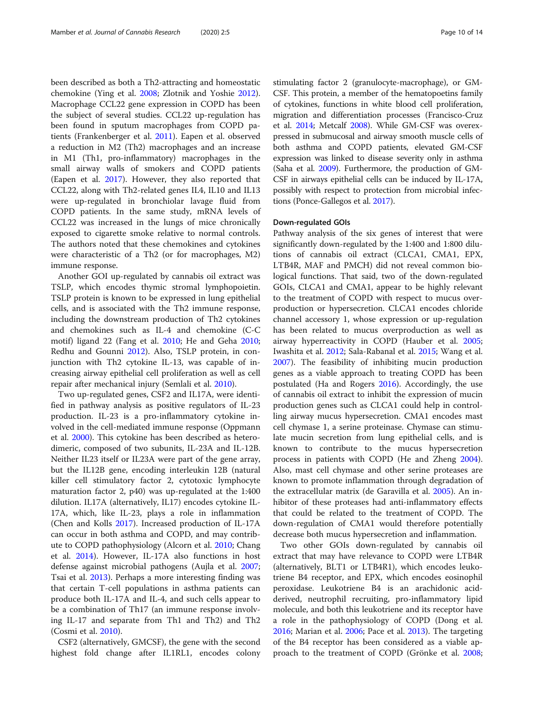been described as both a Th2-attracting and homeostatic chemokine (Ying et al. [2008](#page-13-0); Zlotnik and Yoshie [2012](#page-13-0)). Macrophage CCL22 gene expression in COPD has been the subject of several studies. CCL22 up-regulation has been found in sputum macrophages from COPD patients (Frankenberger et al. [2011\)](#page-12-0). Eapen et al. observed a reduction in M2 (Th2) macrophages and an increase in M1 (Th1, pro-inflammatory) macrophages in the small airway walls of smokers and COPD patients (Eapen et al. [2017\)](#page-12-0). However, they also reported that CCL22, along with Th2-related genes IL4, IL10 and IL13 were up-regulated in bronchiolar lavage fluid from COPD patients. In the same study, mRNA levels of CCL22 was increased in the lungs of mice chronically exposed to cigarette smoke relative to normal controls. The authors noted that these chemokines and cytokines were characteristic of a Th2 (or for macrophages, M2) immune response.

Another GOI up-regulated by cannabis oil extract was TSLP, which encodes thymic stromal lymphopoietin. TSLP protein is known to be expressed in lung epithelial cells, and is associated with the Th2 immune response, including the downstream production of Th2 cytokines and chemokines such as IL-4 and chemokine (C-C motif) ligand 22 (Fang et al. [2010](#page-12-0); He and Geha [2010](#page-12-0); Redhu and Gounni [2012\)](#page-13-0). Also, TSLP protein, in conjunction with Th2 cytokine IL-13, was capable of increasing airway epithelial cell proliferation as well as cell repair after mechanical injury (Semlali et al. [2010\)](#page-13-0).

Two up-regulated genes, CSF2 and IL17A, were identified in pathway analysis as positive regulators of IL-23 production. IL-23 is a pro-inflammatory cytokine involved in the cell-mediated immune response (Oppmann et al. [2000\)](#page-12-0). This cytokine has been described as heterodimeric, composed of two subunits, IL-23A and IL-12B. Neither IL23 itself or IL23A were part of the gene array, but the IL12B gene, encoding interleukin 12B (natural killer cell stimulatory factor 2, cytotoxic lymphocyte maturation factor 2, p40) was up-regulated at the 1:400 dilution. IL17A (alternatively, IL17) encodes cytokine IL-17A, which, like IL-23, plays a role in inflammation (Chen and Kolls [2017](#page-11-0)). Increased production of IL-17A can occur in both asthma and COPD, and may contribute to COPD pathophysiology (Alcorn et al. [2010](#page-11-0); Chang et al. [2014](#page-11-0)). However, IL-17A also functions in host defense against microbial pathogens (Aujla et al. [2007](#page-11-0); Tsai et al. [2013](#page-13-0)). Perhaps a more interesting finding was that certain T-cell populations in asthma patients can produce both IL-17A and IL-4, and such cells appear to be a combination of Th17 (an immune response involving IL-17 and separate from Th1 and Th2) and Th2 (Cosmi et al. [2010](#page-12-0)).

CSF2 (alternatively, GMCSF), the gene with the second highest fold change after IL1RL1, encodes colony stimulating factor 2 (granulocyte-macrophage), or GM-CSF. This protein, a member of the hematopoetins family of cytokines, functions in white blood cell proliferation, migration and differentiation processes (Francisco-Cruz et al. [2014](#page-12-0); Metcalf [2008](#page-12-0)). While GM-CSF was overexpressed in submucosal and airway smooth muscle cells of both asthma and COPD patients, elevated GM-CSF expression was linked to disease severity only in asthma (Saha et al. [2009\)](#page-13-0). Furthermore, the production of GM-CSF in airways epithelial cells can be induced by IL-17A, possibly with respect to protection from microbial infections (Ponce-Gallegos et al. [2017](#page-13-0)).

#### Down-regulated GOIs

Pathway analysis of the six genes of interest that were significantly down-regulated by the 1:400 and 1:800 dilutions of cannabis oil extract (CLCA1, CMA1, EPX, LTB4R, MAF and PMCH) did not reveal common biological functions. That said, two of the down-regulated GOIs, CLCA1 and CMA1, appear to be highly relevant to the treatment of COPD with respect to mucus overproduction or hypersecretion. CLCA1 encodes chloride channel accessory 1, whose expression or up-regulation has been related to mucus overproduction as well as airway hyperreactivity in COPD (Hauber et al. [2005](#page-12-0); Iwashita et al. [2012;](#page-12-0) Sala-Rabanal et al. [2015](#page-13-0); Wang et al. [2007](#page-13-0)). The feasibility of inhibiting mucin production genes as a viable approach to treating COPD has been postulated (Ha and Rogers [2016](#page-12-0)). Accordingly, the use of cannabis oil extract to inhibit the expression of mucin production genes such as CLCA1 could help in controlling airway mucus hypersecretion. CMA1 encodes mast cell chymase 1, a serine proteinase. Chymase can stimulate mucin secretion from lung epithelial cells, and is known to contribute to the mucus hypersecretion process in patients with COPD (He and Zheng [2004](#page-12-0)). Also, mast cell chymase and other serine proteases are known to promote inflammation through degradation of the extracellular matrix (de Garavilla et al. [2005\)](#page-12-0). An inhibitor of these proteases had anti-inflammatory effects that could be related to the treatment of COPD. The down-regulation of CMA1 would therefore potentially decrease both mucus hypersecretion and inflammation.

Two other GOIs down-regulated by cannabis oil extract that may have relevance to COPD were LTB4R (alternatively, BLT1 or LTB4R1), which encodes leukotriene B4 receptor, and EPX, which encodes eosinophil peroxidase. Leukotriene B4 is an arachidonic acidderived, neutrophil recruiting, pro-inflammatory lipid molecule, and both this leukotriene and its receptor have a role in the pathophysiology of COPD (Dong et al. [2016](#page-12-0); Marian et al. [2006;](#page-12-0) Pace et al. [2013\)](#page-12-0). The targeting of the B4 receptor has been considered as a viable approach to the treatment of COPD (Grönke et al. [2008](#page-12-0);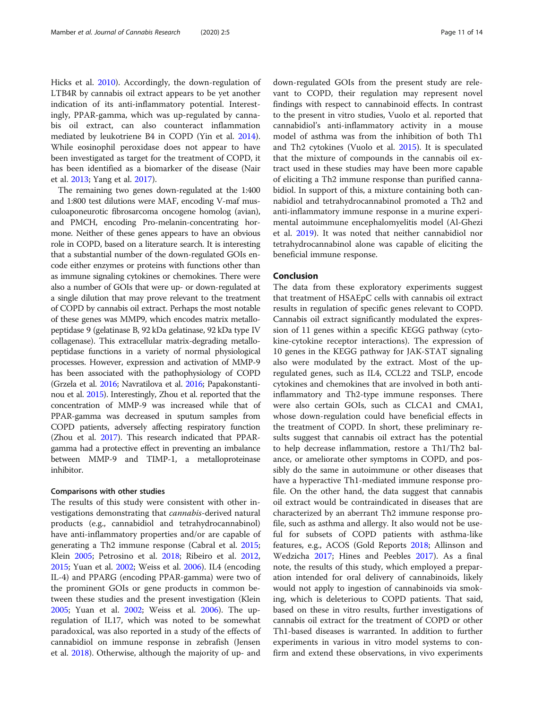Hicks et al. [2010\)](#page-12-0). Accordingly, the down-regulation of LTB4R by cannabis oil extract appears to be yet another indication of its anti-inflammatory potential. Interestingly, PPAR-gamma, which was up-regulated by cannabis oil extract, can also counteract inflammation mediated by leukotriene B4 in COPD (Yin et al. [2014](#page-13-0)). While eosinophil peroxidase does not appear to have been investigated as target for the treatment of COPD, it has been identified as a biomarker of the disease (Nair et al. [2013;](#page-12-0) Yang et al. [2017\)](#page-13-0).

The remaining two genes down-regulated at the 1:400 and 1:800 test dilutions were MAF, encoding V-maf musculoaponeurotic fibrosarcoma oncogene homolog (avian), and PMCH, encoding Pro-melanin-concentrating hormone. Neither of these genes appears to have an obvious role in COPD, based on a literature search. It is interesting that a substantial number of the down-regulated GOIs encode either enzymes or proteins with functions other than as immune signaling cytokines or chemokines. There were also a number of GOIs that were up- or down-regulated at a single dilution that may prove relevant to the treatment of COPD by cannabis oil extract. Perhaps the most notable of these genes was MMP9, which encodes matrix metallopeptidase 9 (gelatinase B, 92 kDa gelatinase, 92 kDa type IV collagenase). This extracellular matrix-degrading metallopeptidase functions in a variety of normal physiological processes. However, expression and activation of MMP-9 has been associated with the pathophysiology of COPD (Grzela et al. [2016;](#page-12-0) Navratilova et al. [2016](#page-12-0); Papakonstantinou et al. [2015\)](#page-12-0). Interestingly, Zhou et al. reported that the concentration of MMP-9 was increased while that of PPAR-gamma was decreased in sputum samples from COPD patients, adversely affecting respiratory function (Zhou et al. [2017](#page-13-0)). This research indicated that PPARgamma had a protective effect in preventing an imbalance between MMP-9 and TIMP-1, a metalloproteinase inhibitor.

#### Comparisons with other studies

The results of this study were consistent with other investigations demonstrating that cannabis-derived natural products (e.g., cannabidiol and tetrahydrocannabinol) have anti-inflammatory properties and/or are capable of generating a Th2 immune response (Cabral et al. [2015](#page-11-0); Klein [2005;](#page-12-0) Petrosino et al. [2018](#page-13-0); Ribeiro et al. [2012](#page-13-0), [2015](#page-13-0); Yuan et al. [2002;](#page-13-0) Weiss et al. [2006\)](#page-13-0). IL4 (encoding IL-4) and PPARG (encoding PPAR-gamma) were two of the prominent GOIs or gene products in common between these studies and the present investigation (Klein [2005](#page-12-0); Yuan et al. [2002](#page-13-0); Weiss et al. [2006\)](#page-13-0). The upregulation of IL17, which was noted to be somewhat paradoxical, was also reported in a study of the effects of cannabidiol on immune response in zebrafish (Jensen et al. [2018](#page-12-0)). Otherwise, although the majority of up- and

down-regulated GOIs from the present study are relevant to COPD, their regulation may represent novel findings with respect to cannabinoid effects. In contrast to the present in vitro studies, Vuolo et al. reported that cannabidiol's anti-inflammatory activity in a mouse model of asthma was from the inhibition of both Th1 and Th2 cytokines (Vuolo et al. [2015\)](#page-13-0). It is speculated that the mixture of compounds in the cannabis oil extract used in these studies may have been more capable of eliciting a Th2 immune response than purified cannabidiol. In support of this, a mixture containing both cannabidiol and tetrahydrocannabinol promoted a Th2 and anti-inflammatory immune response in a murine experimental autoimmune encephalomyelitis model (Al-Ghezi et al. [2019](#page-11-0)). It was noted that neither cannabidiol nor tetrahydrocannabinol alone was capable of eliciting the beneficial immune response.

#### Conclusion

The data from these exploratory experiments suggest that treatment of HSAEpC cells with cannabis oil extract results in regulation of specific genes relevant to COPD. Cannabis oil extract significantly modulated the expression of 11 genes within a specific KEGG pathway (cytokine-cytokine receptor interactions). The expression of 10 genes in the KEGG pathway for JAK-STAT signaling also were modulated by the extract. Most of the upregulated genes, such as IL4, CCL22 and TSLP, encode cytokines and chemokines that are involved in both antiinflammatory and Th2-type immune responses. There were also certain GOIs, such as CLCA1 and CMA1, whose down-regulation could have beneficial effects in the treatment of COPD. In short, these preliminary results suggest that cannabis oil extract has the potential to help decrease inflammation, restore a Th1/Th2 balance, or ameliorate other symptoms in COPD, and possibly do the same in autoimmune or other diseases that have a hyperactive Th1-mediated immune response profile. On the other hand, the data suggest that cannabis oil extract would be contraindicated in diseases that are characterized by an aberrant Th2 immune response profile, such as asthma and allergy. It also would not be useful for subsets of COPD patients with asthma-like features, e.g., ACOS (Gold Reports [2018;](#page-12-0) Allinson and Wedzicha [2017](#page-11-0); Hines and Peebles [2017\)](#page-12-0). As a final note, the results of this study, which employed a preparation intended for oral delivery of cannabinoids, likely would not apply to ingestion of cannabinoids via smoking, which is deleterious to COPD patients. That said, based on these in vitro results, further investigations of cannabis oil extract for the treatment of COPD or other Th1-based diseases is warranted. In addition to further experiments in various in vitro model systems to confirm and extend these observations, in vivo experiments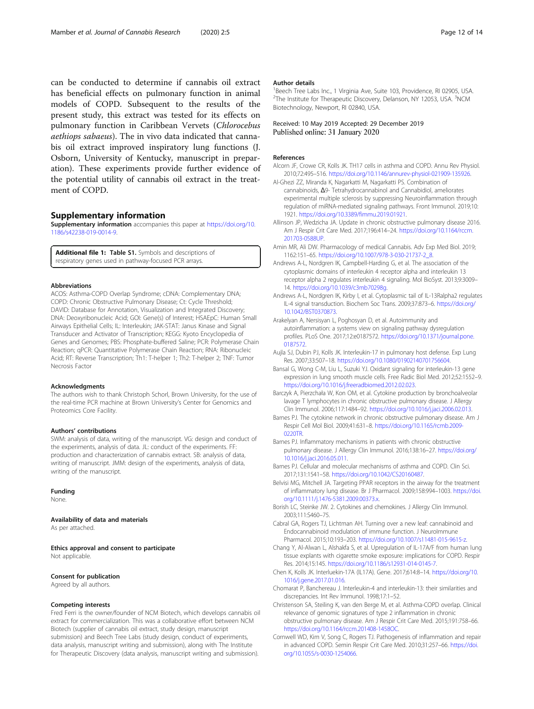<span id="page-11-0"></span>can be conducted to determine if cannabis oil extract has beneficial effects on pulmonary function in animal models of COPD. Subsequent to the results of the present study, this extract was tested for its effects on pulmonary function in Caribbean Vervets (Chlorocebus aethiops sabaeus). The in vivo data indicated that cannabis oil extract improved inspiratory lung functions (J. Osborn, University of Kentucky, manuscript in preparation). These experiments provide further evidence of the potential utility of cannabis oil extract in the treatment of COPD.

## Supplementary information

Supplementary information accompanies this paper at [https://doi.org/10.](https://doi.org/10.1186/s42238-019-0014-9) [1186/s42238-019-0014-9.](https://doi.org/10.1186/s42238-019-0014-9)

Additional file 1: Table S1. Symbols and descriptions of respiratory genes used in pathway-focused PCR arrays.

#### Abbreviations

ACOS: Asthma-COPD Overlap Syndrome; cDNA: Complementary DNA; COPD: Chronic Obstructive Pulmonary Disease; Ct: Cycle Threshold; DAVID: Database for Annotation, Visualization and Integrated Discovery; DNA: Deoxyribonucleic Acid; GOI: Gene(s) of Interest; HSAEpC: Human Small Airways Epithelial Cells; IL: Interleukin; JAK-STAT: Janus Kinase and Signal Transducer and Activator of Transcription; KEGG: Kyoto Encyclopedia of Genes and Genomes; PBS: Phosphate-buffered Saline; PCR: Polymerase Chain Reaction; qPCR: Quantitative Polymerase Chain Reaction; RNA: Ribonucleic Acid; RT: Reverse Transcription; Th1: T-helper 1; Th2: T-helper 2; TNF: Tumor Necrosis Factor

#### Acknowledgments

The authors wish to thank Christoph Schorl, Brown University, for the use of the real-time PCR machine at Brown University's Center for Genomics and Proteomics Core Facility.

#### Authors' contributions

SWM: analysis of data, writing of the manuscript. VG: design and conduct of the experiments, analysis of data. JL: conduct of the experiments. FF: production and characterization of cannabis extract. SB: analysis of data, writing of manuscript. JMM: design of the experiments, analysis of data, writing of the manuscript.

#### Funding

None.

#### Availability of data and materials

As per attached.

Ethics approval and consent to participate Not applicable.

# Consent for publication

Agreed by all authors.

## Competing interests

Fred Ferri is the owner/founder of NCM Biotech, which develops cannabis oil extract for commercialization. This was a collaborative effort between NCM Biotech (supplier of cannabis oil extract, study design, manuscript submission) and Beech Tree Labs (study design, conduct of experiments, data analysis, manuscript writing and submission), along with The Institute for Therapeutic Discovery (data analysis, manuscript writing and submission).

#### Author details

<sup>1</sup> Beech Tree Labs Inc., 1 Virginia Ave, Suite 103, Providence, RI 02905, USA <sup>2</sup>The Institute for Therapeutic Discovery, Delanson, NY 12053, USA. <sup>3</sup>NCM Biotechnology, Newport, RI 02840, USA.

#### Received: 10 May 2019 Accepted: 29 December 2019 Published online: 31 January 2020

#### References

- Alcorn JF, Crowe CR, Kolls JK. TH17 cells in asthma and COPD. Annu Rev Physiol. 2010;72:495–516. [https://doi.org/10.1146/annurev-physiol-021909-135926.](https://doi.org/10.1146/annurev-physiol-021909-135926)
- Al-Ghezi ZZ, Miranda K, Nagarkatti M, Nagarkatti PS. Combination of cannabinoids, Δ9- Tetrahydrocannabinol and Cannabidiol, ameliorates experimental multiple sclerosis by suppressing Neuroinflammation through regulation of miRNA-mediated signaling pathways. Front Immunol. 2019;10: 1921. [https://doi.org/10.3389/fimmu.2019.01921.](https://doi.org/10.3389/fimmu.2019.01921)
- Allinson JP, Wedzicha JA. Update in chronic obstructive pulmonary disease 2016. Am J Respir Crit Care Med. 2017;196:414–24. [https://doi.org/10.1164/rccm.](https://doi.org/10.1164/rccm.201703-0588UP) [201703-0588UP.](https://doi.org/10.1164/rccm.201703-0588UP)
- Amin MR, Ali DW. Pharmacology of medical Cannabis. Adv Exp Med Biol. 2019; 1162:151–65. [https://doi.org/10.1007/978-3-030-21737-2\\_8](https://doi.org/10.1007/978-3-030-21737-2_8).
- Andrews A-L, Nordgren IK, Campbell-Harding G, et al. The association of the cytoplasmic domains of interleukin 4 receptor alpha and interleukin 13 receptor alpha 2 regulates interleukin 4 signaling. Mol BioSyst. 2013;9:3009– 14. <https://doi.org/10.1039/c3mb70298g>.
- Andrews A-L, Nordgren IK, Kirby I, et al. Cytoplasmic tail of IL-13Ralpha2 regulates IL-4 signal transduction. Biochem Soc Trans. 2009;37:873–6. [https://doi.org/](https://doi.org/10.1042/BST0370873) [10.1042/BST0370873.](https://doi.org/10.1042/BST0370873)
- Arakelyan A, Nersisyan L, Poghosyan D, et al. Autoimmunity and autoinflammation: a systems view on signaling pathway dysregulation profiles. PLoS One. 2017;12:e0187572. [https://doi.org/10.1371/journal.pone.](https://doi.org/10.1371/journal.pone.0187572) [0187572.](https://doi.org/10.1371/journal.pone.0187572)
- Aujla SJ, Dubin PJ, Kolls JK. Interleukin-17 in pulmonary host defense. Exp Lung Res. 2007;33:507–18. [https://doi.org/10.1080/01902140701756604.](https://doi.org/10.1080/01902140701756604)
- Bansal G, Wong C-M, Liu L, Suzuki YJ. Oxidant signaling for interleukin-13 gene expression in lung smooth muscle cells. Free Radic Biol Med. 2012;52:1552–9. [https://doi.org/10.1016/j.freeradbiomed.2012.02.023.](https://doi.org/10.1016/j.freeradbiomed.2012.02.023)
- Barczyk A, Pierzchała W, Kon OM, et al. Cytokine production by bronchoalveolar lavage T lymphocytes in chronic obstructive pulmonary disease. J Allergy Clin Immunol. 2006;117:1484–92. [https://doi.org/10.1016/j.jaci.2006.02.013.](https://doi.org/10.1016/j.jaci.2006.02.013)
- Barnes PJ. The cytokine network in chronic obstructive pulmonary disease. Am J Respir Cell Mol Biol. 2009;41:631–8. [https://doi.org/10.1165/rcmb.2009-](https://doi.org/10.1165/rcmb.2009-0220TR) [0220TR](https://doi.org/10.1165/rcmb.2009-0220TR).
- Barnes PJ. Inflammatory mechanisms in patients with chronic obstructive pulmonary disease. J Allergy Clin Immunol. 2016;138:16–27. [https://doi.org/](https://doi.org/10.1016/j.jaci.2016.05.011) [10.1016/j.jaci.2016.05.011](https://doi.org/10.1016/j.jaci.2016.05.011).
- Barnes PJ. Cellular and molecular mechanisms of asthma and COPD. Clin Sci. 2017;131:1541–58. <https://doi.org/10.1042/CS20160487>.
- Belvisi MG, Mitchell JA. Targeting PPAR receptors in the airway for the treatment of inflammatory lung disease. Br J Pharmacol. 2009;158:994–1003. [https://doi.](https://doi.org/10.1111/j.1476-5381.2009.00373.x) [org/10.1111/j.1476-5381.2009.00373.x](https://doi.org/10.1111/j.1476-5381.2009.00373.x).
- Borish LC, Steinke JW. 2. Cytokines and chemokines. J Allergy Clin Immunol. 2003;111:S460–75.
- Cabral GA, Rogers TJ, Lichtman AH. Turning over a new leaf: cannabinoid and Endocannabinoid modulation of immune function. J NeuroImmune Pharmacol. 2015;10:193–203. <https://doi.org/10.1007/s11481-015-9615-z>.
- Chang Y, Al-Alwan L, Alshakfa S, et al. Upregulation of IL-17A/F from human lung tissue explants with cigarette smoke exposure: implications for COPD. Respir Res. 2014;15:145. <https://doi.org/10.1186/s12931-014-0145-7>.
- Chen K, Kolls JK. Interluekin-17A (IL17A). Gene. 2017;614:8–14. [https://doi.org/10.](https://doi.org/10.1016/j.gene.2017.01.016) [1016/j.gene.2017.01.016](https://doi.org/10.1016/j.gene.2017.01.016).
- Chomarat P, Banchereau J. Interleukin-4 and interleukin-13: their similarities and discrepancies. Int Rev Immunol. 1998;17:1–52.
- Christenson SA, Steiling K, van den Berge M, et al. Asthma-COPD overlap. Clinical relevance of genomic signatures of type 2 inflammation in chronic obstructive pulmonary disease. Am J Respir Crit Care Med. 2015;191:758–66. <https://doi.org/10.1164/rccm.201408-1458OC>.
- Cornwell WD, Kim V, Song C, Rogers TJ. Pathogenesis of inflammation and repair in advanced COPD. Semin Respir Crit Care Med. 2010;31:257–66. [https://doi.](https://doi.org/10.1055/s-0030-1254066) [org/10.1055/s-0030-1254066](https://doi.org/10.1055/s-0030-1254066).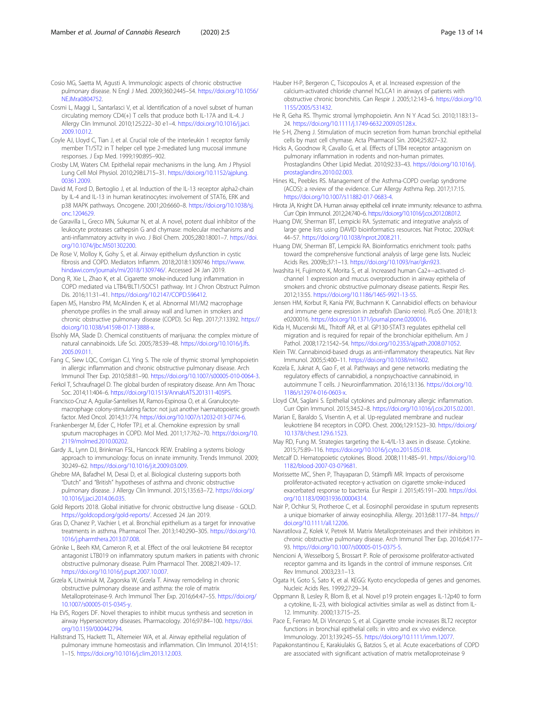<span id="page-12-0"></span>Cosio MG, Saetta M, Agusti A. Immunologic aspects of chronic obstructive pulmonary disease. N Engl J Med. 2009;360:2445–54. [https://doi.org/10.1056/](https://doi.org/10.1056/NEJMra0804752) [NEJMra0804752.](https://doi.org/10.1056/NEJMra0804752)

- Cosmi L, Maggi L, Santarlasci V, et al. Identification of a novel subset of human circulating memory CD4(+) T cells that produce both IL-17A and IL-4. J Allergy Clin Immunol. 2010;125:222–30 e1–4. [https://doi.org/10.1016/j.jaci.](https://doi.org/10.1016/j.jaci.2009.10.012) [2009.10.012.](https://doi.org/10.1016/j.jaci.2009.10.012)
- Coyle AJ, Lloyd C, Tian J, et al. Crucial role of the interleukin 1 receptor family member T1/ST2 in T helper cell type 2-mediated lung mucosal immune responses. J Exp Med. 1999;190:895–902.
- Crosby LM, Waters CM. Epithelial repair mechanisms in the lung. Am J Physiol Lung Cell Mol Physiol. 2010;298:L715–31. [https://doi.org/10.1152/ajplung.](https://doi.org/10.1152/ajplung.00361.2009) [00361.2009.](https://doi.org/10.1152/ajplung.00361.2009)
- David M, Ford D, Bertoglio J, et al. Induction of the IL-13 receptor alpha2-chain by IL-4 and IL-13 in human keratinocytes: involvement of STAT6, ERK and p38 MAPK pathways. Oncogene. 2001;20:6660–8. [https://doi.org/10.1038/sj.](https://doi.org/10.1038/sj.onc.1204629) [onc.1204629](https://doi.org/10.1038/sj.onc.1204629).
- de Garavilla L, Greco MN, Sukumar N, et al. A novel, potent dual inhibitor of the leukocyte proteases cathepsin G and chymase: molecular mechanisms and anti-inflammatory activity in vivo. J Biol Chem. 2005;280:18001–7. [https://doi.](https://doi.org/10.1074/jbc.M501302200) [org/10.1074/jbc.M501302200.](https://doi.org/10.1074/jbc.M501302200)
- De Rose V, Molloy K, Gohy S, et al. Airway epithelium dysfunction in cystic fibrosis and COPD. Mediators Inflamm. 2018;2018:1309746 [https://www.](https://www.hindawi.com/journals/mi/2018/1309746/) [hindawi.com/journals/mi/2018/1309746/](https://www.hindawi.com/journals/mi/2018/1309746/). Accessed 24 Jan 2019.
- Dong R, Xie L, Zhao K, et al. Cigarette smoke-induced lung inflammation in COPD mediated via LTB4/BLT1/SOCS1 pathway. Int J Chron Obstruct Pulmon Dis. 2016;11:31–41. [https://doi.org/10.2147/COPD.S96412.](https://doi.org/10.2147/COPD.S96412)
- Eapen MS, Hansbro PM, McAlinden K, et al. Abnormal M1/M2 macrophage phenotype profiles in the small airway wall and lumen in smokers and chronic obstructive pulmonary disease (COPD). Sci Rep. 2017;7:13392. [https://](https://doi.org/10.1038/s41598-017-13888-x) [doi.org/10.1038/s41598-017-13888-x](https://doi.org/10.1038/s41598-017-13888-x).
- Elsohly MA, Slade D. Chemical constituents of marijuana: the complex mixture of natural cannabinoids. Life Sci. 2005;78:539–48. [https://doi.org/10.1016/j.lfs.](https://doi.org/10.1016/j.lfs.2005.09.011) [2005.09.011.](https://doi.org/10.1016/j.lfs.2005.09.011)
- Fang C, Siew LQC, Corrigan CJ, Ying S. The role of thymic stromal lymphopoietin in allergic inflammation and chronic obstructive pulmonary disease. Arch Immunol Ther Exp. 2010;58:81–90. [https://doi.org/10.1007/s00005-010-0064-3.](https://doi.org/10.1007/s00005-010-0064-3)
- Ferkol T, Schraufnagel D. The global burden of respiratory disease. Ann Am Thorac Soc. 2014;11:404–6. <https://doi.org/10.1513/AnnalsATS.201311-405PS>.
- Francisco-Cruz A, Aguilar-Santelises M, Ramos-Espinosa O, et al. Granulocytemacrophage colony-stimulating factor: not just another haematopoietic growth factor. Med Oncol. 2014;31:774. <https://doi.org/10.1007/s12032-013-0774-6>.
- Frankenberger M, Eder C, Hofer TPJ, et al. Chemokine expression by small sputum macrophages in COPD. Mol Med. 2011;17:762–70. [https://doi.org/10.](https://doi.org/10.2119/molmed.2010.00202) [2119/molmed.2010.00202](https://doi.org/10.2119/molmed.2010.00202).
- Gardy JL, Lynn DJ, Brinkman FSL, Hancock REW. Enabling a systems biology approach to immunology: focus on innate immunity. Trends Immunol. 2009; 30:249–62. <https://doi.org/10.1016/j.it.2009.03.009>.
- Ghebre MA, Bafadhel M, Desai D, et al. Biological clustering supports both "Dutch" and "British" hypotheses of asthma and chronic obstructive pulmonary disease. J Allergy Clin Immunol. 2015;135:63–72. [https://doi.org/](https://doi.org/10.1016/j.jaci.2014.06.035) [10.1016/j.jaci.2014.06.035](https://doi.org/10.1016/j.jaci.2014.06.035).
- Gold Reports 2018. Global initiative for chronic obstructive lung disease GOLD. [https://goldcopd.org/gold-reports/.](https://goldcopd.org/gold-reports/) Accessed 24 Jan 2019.
- Gras D, Chanez P, Vachier I, et al. Bronchial epithelium as a target for innovative treatments in asthma. Pharmacol Ther. 2013;140:290–305. [https://doi.org/10.](https://doi.org/10.1016/j.pharmthera.2013.07.008) [1016/j.pharmthera.2013.07.008](https://doi.org/10.1016/j.pharmthera.2013.07.008).
- Grönke L, Beeh KM, Cameron R, et al. Effect of the oral leukotriene B4 receptor antagonist LTB019 on inflammatory sputum markers in patients with chronic obstructive pulmonary disease. Pulm Pharmacol Ther. 2008;21:409–17. <https://doi.org/10.1016/j.pupt.2007.10.007>.
- Grzela K, Litwiniuk M, Zagorska W, Grzela T. Airway remodeling in chronic obstructive pulmonary disease and asthma: the role of matrix Metalloproteinase-9. Arch Immunol Ther Exp. 2016;64:47–55. [https://doi.org/](https://doi.org/10.1007/s00005-015-0345-y) [10.1007/s00005-015-0345-y.](https://doi.org/10.1007/s00005-015-0345-y)
- Ha EVS, Rogers DF. Novel therapies to inhibit mucus synthesis and secretion in airway Hypersecretory diseases. Pharmacology. 2016;97:84–100. [https://doi.](https://doi.org/10.1159/000442794) [org/10.1159/000442794.](https://doi.org/10.1159/000442794)
- Hallstrand TS, Hackett TL, Altemeier WA, et al. Airway epithelial regulation of pulmonary immune homeostasis and inflammation. Clin Immunol. 2014;151: 1–15. [https://doi.org/10.1016/j.clim.2013.12.003.](https://doi.org/10.1016/j.clim.2013.12.003)
- Hauber H-P, Bergeron C, Tsicopoulos A, et al. Increased expression of the calcium-activated chloride channel hCLCA1 in airways of patients with obstructive chronic bronchitis. Can Respir J. 2005;12:143–6. [https://doi.org/10.](https://doi.org/10.1155/2005/531432) [1155/2005/531432](https://doi.org/10.1155/2005/531432).
- He R, Geha RS. Thymic stromal lymphopoietin. Ann N Y Acad Sci. 2010;1183:13– 24. <https://doi.org/10.1111/j.1749-6632.2009.05128.x>.
- He S-H, Zheng J. Stimulation of mucin secretion from human bronchial epithelial cells by mast cell chymase. Acta Pharmacol Sin. 2004;25:827–32.
- Hicks A, Goodnow R, Cavallo G, et al. Effects of LTB4 receptor antagonism on pulmonary inflammation in rodents and non-human primates. Prostaglandins Other Lipid Mediat. 2010;92:33–43. [https://doi.org/10.1016/j.](https://doi.org/10.1016/j.prostaglandins.2010.02.003) [prostaglandins.2010.02.003.](https://doi.org/10.1016/j.prostaglandins.2010.02.003)
- Hines KL, Peebles RS. Management of the Asthma-COPD overlap syndrome (ACOS): a review of the evidence. Curr Allergy Asthma Rep. 2017;17:15. <https://doi.org/10.1007/s11882-017-0683-4>.
- Hirota JA, Knight DA. Human airway epithelial cell innate immunity: relevance to asthma. Curr Opin Immunol. 2012;24:740–6. <https://doi.org/10.1016/j.coi.2012.08.012>.
- Huang DW, Sherman BT, Lempicki RA. Systematic and integrative analysis of large gene lists using DAVID bioinformatics resources. Nat Protoc. 2009a;4: 44–57. <https://doi.org/10.1038/nprot.2008.211>.
- Huang DW, Sherman BT, Lempicki RA. Bioinformatics enrichment tools: paths toward the comprehensive functional analysis of large gene lists. Nucleic Acids Res. 2009b;37:1–13. <https://doi.org/10.1093/nar/gkn923>.
- Iwashita H, Fujimoto K, Morita S, et al. Increased human Ca2+−activated clchannel 1 expression and mucus overproduction in airway epithelia of smokers and chronic obstructive pulmonary disease patients. Respir Res. 2012;13:55. <https://doi.org/10.1186/1465-9921-13-55>.
- Jensen HM, Korbut R, Kania PW, Buchmann K. Cannabidiol effects on behaviour and immune gene expression in zebrafish (Danio rerio). PLoS One. 2018;13: e0200016. <https://doi.org/10.1371/journal.pone.0200016>.
- Kida H, Mucenski ML, Thitoff AR, et al. GP130-STAT3 regulates epithelial cell migration and is required for repair of the bronchiolar epithelium. Am J Pathol. 2008;172:1542–54. <https://doi.org/10.2353/ajpath.2008.071052>.
- Klein TW. Cannabinoid-based drugs as anti-inflammatory therapeutics. Nat Rev Immunol. 2005;5:400–11. <https://doi.org/10.1038/nri1602>.
- Kozela E, Juknat A, Gao F, et al. Pathways and gene networks mediating the regulatory effects of cannabidiol, a nonpsychoactive cannabinoid, in autoimmune T cells. J Neuroinflammation. 2016;13:136. [https://doi.org/10.](https://doi.org/10.1186/s12974-016-0603-x) [1186/s12974-016-0603-x.](https://doi.org/10.1186/s12974-016-0603-x)
- Lloyd CM, Saglani S. Epithelial cytokines and pulmonary allergic inflammation. Curr Opin Immunol. 2015;34:52–8. <https://doi.org/10.1016/j.coi.2015.02.001>.
- Marian E, Baraldo S, Visentin A, et al. Up-regulated membrane and nuclear leukotriene B4 receptors in COPD. Chest. 2006;129:1523–30. [https://doi.org/](https://doi.org/10.1378/chest.129.6.1523) [10.1378/chest.129.6.1523.](https://doi.org/10.1378/chest.129.6.1523)
- May RD, Fung M. Strategies targeting the IL-4/IL-13 axes in disease. Cytokine. 2015;75:89–116. [https://doi.org/10.1016/j.cyto.2015.05.018.](https://doi.org/10.1016/j.cyto.2015.05.018)
- Metcalf D. Hematopoietic cytokines. Blood. 2008;111:485–91. [https://doi.org/10.](https://doi.org/10.1182/blood-2007-03-079681) [1182/blood-2007-03-079681.](https://doi.org/10.1182/blood-2007-03-079681)
- Morissette MC, Shen P, Thayaparan D, Stämpfli MR. Impacts of peroxisome proliferator-activated receptor-γ activation on cigarette smoke-induced exacerbated response to bacteria. Eur Respir J. 2015;45:191–200. [https://doi.](https://doi.org/10.1183/09031936.00004314) [org/10.1183/09031936.00004314.](https://doi.org/10.1183/09031936.00004314)
- Nair P, Ochkur SI, Protheroe C, et al. Eosinophil peroxidase in sputum represents a unique biomarker of airway eosinophilia. Allergy. 2013;68:1177–84. [https://](https://doi.org/10.1111/all.12206) [doi.org/10.1111/all.12206.](https://doi.org/10.1111/all.12206)
- Navratilova Z, Kolek V, Petrek M. Matrix Metalloproteinases and their inhibitors in chronic obstructive pulmonary disease. Arch Immunol Ther Exp. 2016;64:177– 93. <https://doi.org/10.1007/s00005-015-0375-5>.
- Nencioni A, Wesselborg S, Brossart P. Role of peroxisome proliferator-activated receptor gamma and its ligands in the control of immune responses. Crit Rev Immunol. 2003;23:1–13.
- Ogata H, Goto S, Sato K, et al. KEGG: Kyoto encyclopedia of genes and genomes. Nucleic Acids Res. 1999;27:29–34.
- Oppmann B, Lesley R, Blom B, et al. Novel p19 protein engages IL-12p40 to form a cytokine, IL-23, with biological activities similar as well as distinct from IL-12. Immunity. 2000;13:715–25.
- Pace E, Ferraro M, Di Vincenzo S, et al. Cigarette smoke increases BLT2 receptor functions in bronchial epithelial cells: in vitro and ex vivo evidence. Immunology. 2013;139:245–55. <https://doi.org/10.1111/imm.12077>.
- Papakonstantinou E, Karakiulakis G, Batzios S, et al. Acute exacerbations of COPD are associated with significant activation of matrix metalloproteinase 9